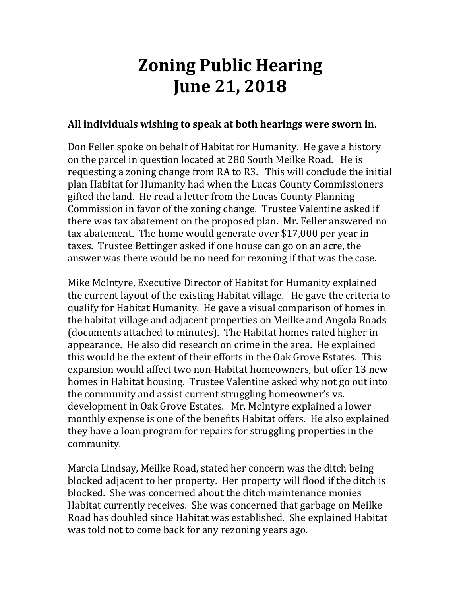## **Zoning Public Hearing June 21, 2018**

## **All individuals wishing to speak at both hearings were sworn in.**

Don Feller spoke on behalf of Habitat for Humanity. He gave a history on the parcel in question located at 280 South Meilke Road. He is requesting a zoning change from RA to R3. This will conclude the initial plan Habitat for Humanity had when the Lucas County Commissioners gifted the land. He read a letter from the Lucas County Planning Commission in favor of the zoning change. Trustee Valentine asked if there was tax abatement on the proposed plan. Mr. Feller answered no tax abatement. The home would generate over \$17,000 per year in taxes. Trustee Bettinger asked if one house can go on an acre, the answer was there would be no need for rezoning if that was the case.

Mike McIntyre, Executive Director of Habitat for Humanity explained the current layout of the existing Habitat village. He gave the criteria to qualify for Habitat Humanity. He gave a visual comparison of homes in the habitat village and adjacent properties on Meilke and Angola Roads (documents attached to minutes). The Habitat homes rated higher in appearance. He also did research on crime in the area. He explained this would be the extent of their efforts in the Oak Grove Estates. This expansion would affect two non-Habitat homeowners, but offer 13 new homes in Habitat housing. Trustee Valentine asked why not go out into the community and assist current struggling homeowner's vs. development in Oak Grove Estates. Mr. McIntyre explained a lower monthly expense is one of the benefits Habitat offers. He also explained they have a loan program for repairs for struggling properties in the community.

Marcia Lindsay, Meilke Road, stated her concern was the ditch being blocked adjacent to her property. Her property will flood if the ditch is blocked. She was concerned about the ditch maintenance monies Habitat currently receives. She was concerned that garbage on Meilke Road has doubled since Habitat was established. She explained Habitat was told not to come back for any rezoning years ago.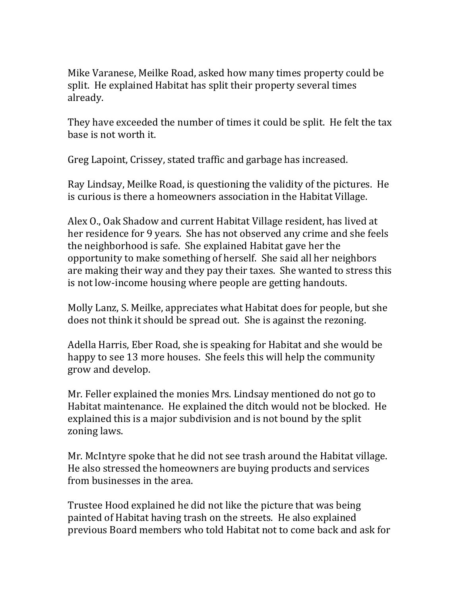Mike Varanese, Meilke Road, asked how many times property could be split. He explained Habitat has split their property several times already.

They have exceeded the number of times it could be split. He felt the tax base is not worth it.

Greg Lapoint, Crissey, stated traffic and garbage has increased.

Ray Lindsay, Meilke Road, is questioning the validity of the pictures. He is curious is there a homeowners association in the Habitat Village.

Alex O., Oak Shadow and current Habitat Village resident, has lived at her residence for 9 years. She has not observed any crime and she feels the neighborhood is safe. She explained Habitat gave her the opportunity to make something of herself. She said all her neighbors are making their way and they pay their taxes. She wanted to stress this is not low-income housing where people are getting handouts.

Molly Lanz, S. Meilke, appreciates what Habitat does for people, but she does not think it should be spread out. She is against the rezoning.

Adella Harris, Eber Road, she is speaking for Habitat and she would be happy to see 13 more houses. She feels this will help the community grow and develop.

Mr. Feller explained the monies Mrs. Lindsay mentioned do not go to Habitat maintenance. He explained the ditch would not be blocked. He explained this is a major subdivision and is not bound by the split zoning laws.

Mr. McIntyre spoke that he did not see trash around the Habitat village. He also stressed the homeowners are buying products and services from businesses in the area.

Trustee Hood explained he did not like the picture that was being painted of Habitat having trash on the streets. He also explained previous Board members who told Habitat not to come back and ask for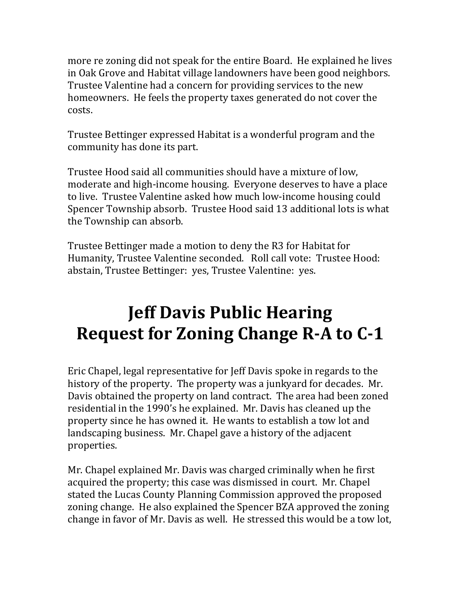more re zoning did not speak for the entire Board. He explained he lives in Oak Grove and Habitat village landowners have been good neighbors. Trustee Valentine had a concern for providing services to the new homeowners. He feels the property taxes generated do not cover the costs.

Trustee Bettinger expressed Habitat is a wonderful program and the community has done its part.

Trustee Hood said all communities should have a mixture of low, moderate and high-income housing. Everyone deserves to have a place to live. Trustee Valentine asked how much low-income housing could Spencer Township absorb. Trustee Hood said 13 additional lots is what the Township can absorb.

Trustee Bettinger made a motion to deny the R3 for Habitat for Humanity, Trustee Valentine seconded. Roll call vote: Trustee Hood: abstain, Trustee Bettinger: yes, Trustee Valentine: yes.

## **Jeff Davis Public Hearing Request for Zoning Change R-A to C-1**

Eric Chapel, legal representative for Jeff Davis spoke in regards to the history of the property. The property was a junkyard for decades. Mr. Davis obtained the property on land contract. The area had been zoned residential in the 1990's he explained. Mr. Davis has cleaned up the property since he has owned it. He wants to establish a tow lot and landscaping business. Mr. Chapel gave a history of the adjacent properties.

Mr. Chapel explained Mr. Davis was charged criminally when he first acquired the property; this case was dismissed in court. Mr. Chapel stated the Lucas County Planning Commission approved the proposed zoning change. He also explained the Spencer BZA approved the zoning change in favor of Mr. Davis as well. He stressed this would be a tow lot,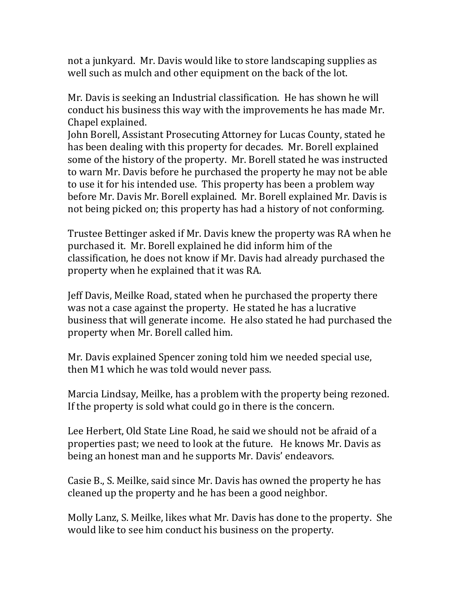not a junkyard. Mr. Davis would like to store landscaping supplies as well such as mulch and other equipment on the back of the lot.

Mr. Davis is seeking an Industrial classification. He has shown he will conduct his business this way with the improvements he has made Mr. Chapel explained.

John Borell, Assistant Prosecuting Attorney for Lucas County, stated he has been dealing with this property for decades. Mr. Borell explained some of the history of the property. Mr. Borell stated he was instructed to warn Mr. Davis before he purchased the property he may not be able to use it for his intended use. This property has been a problem way before Mr. Davis Mr. Borell explained. Mr. Borell explained Mr. Davis is not being picked on; this property has had a history of not conforming.

Trustee Bettinger asked if Mr. Davis knew the property was RA when he purchased it. Mr. Borell explained he did inform him of the classification, he does not know if Mr. Davis had already purchased the property when he explained that it was RA.

Jeff Davis, Meilke Road, stated when he purchased the property there was not a case against the property. He stated he has a lucrative business that will generate income. He also stated he had purchased the property when Mr. Borell called him.

Mr. Davis explained Spencer zoning told him we needed special use, then M1 which he was told would never pass.

Marcia Lindsay, Meilke, has a problem with the property being rezoned. If the property is sold what could go in there is the concern.

Lee Herbert, Old State Line Road, he said we should not be afraid of a properties past; we need to look at the future. He knows Mr. Davis as being an honest man and he supports Mr. Davis' endeavors.

Casie B., S. Meilke, said since Mr. Davis has owned the property he has cleaned up the property and he has been a good neighbor.

Molly Lanz, S. Meilke, likes what Mr. Davis has done to the property. She would like to see him conduct his business on the property.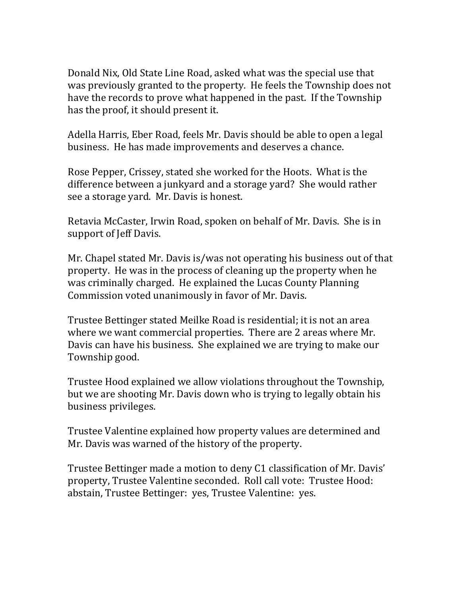Donald Nix, Old State Line Road, asked what was the special use that was previously granted to the property. He feels the Township does not have the records to prove what happened in the past. If the Township has the proof, it should present it.

Adella Harris, Eber Road, feels Mr. Davis should be able to open a legal business. He has made improvements and deserves a chance.

Rose Pepper, Crissey, stated she worked for the Hoots. What is the difference between a junkyard and a storage yard? She would rather see a storage yard. Mr. Davis is honest.

Retavia McCaster, Irwin Road, spoken on behalf of Mr. Davis. She is in support of Jeff Davis.

Mr. Chapel stated Mr. Davis is/was not operating his business out of that property. He was in the process of cleaning up the property when he was criminally charged. He explained the Lucas County Planning Commission voted unanimously in favor of Mr. Davis.

Trustee Bettinger stated Meilke Road is residential; it is not an area where we want commercial properties. There are 2 areas where Mr. Davis can have his business. She explained we are trying to make our Township good.

Trustee Hood explained we allow violations throughout the Township, but we are shooting Mr. Davis down who is trying to legally obtain his business privileges.

Trustee Valentine explained how property values are determined and Mr. Davis was warned of the history of the property.

Trustee Bettinger made a motion to deny C1 classification of Mr. Davis' property, Trustee Valentine seconded. Roll call vote: Trustee Hood: abstain, Trustee Bettinger: yes, Trustee Valentine: yes.